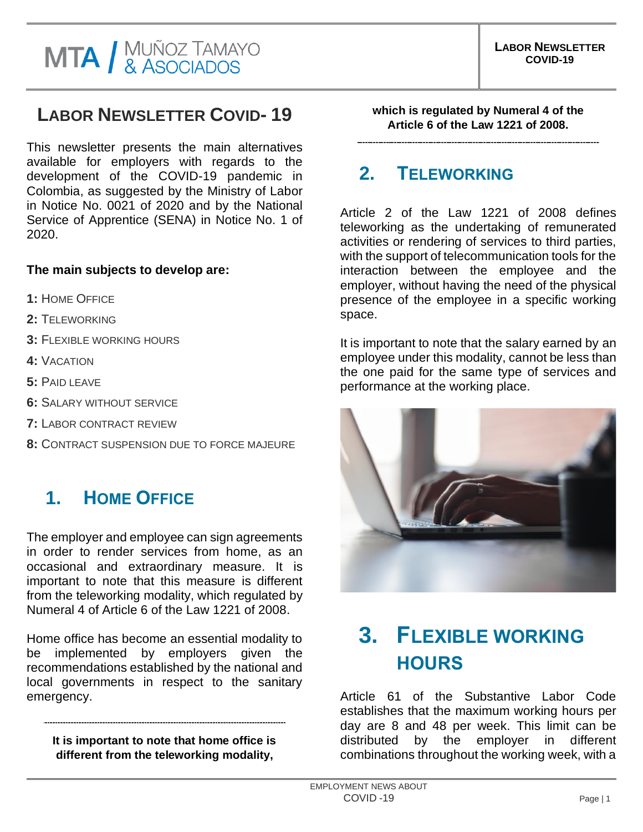#### **LABOR NEWSLETTER COVID- 19**

This newsletter presents the main alternatives available for employers with regards to the development of the COVID-19 pandemic in Colombia, as suggested by the Ministry of Labor in Notice No. 0021 of 2020 and by the National Service of Apprentice (SENA) in Notice No. 1 of 2020.

#### **The main subjects to develop are:**

- **1:** HOME OFFICE
- **2:** TELEWORKING
- **3:** FLEXIBLE WORKING HOURS
- **4:** VACATION
- **5:** PAID LEAVE
- **6:** SALARY WITHOUT SERVICE
- **7:** LABOR CONTRACT REVIEW
- **8:** CONTRACT SUSPENSION DUE TO FORCE MAJEURE

#### **1. HOME OFFICE**

The employer and employee can sign agreements in order to render services from home, as an occasional and extraordinary measure. It is important to note that this measure is different from the teleworking modality, which regulated by Numeral 4 of Article 6 of the Law 1221 of 2008.

Home office has become an essential modality to be implemented by employers given the recommendations established by the national and local governments in respect to the sanitary emergency.

**It is important to note that home office is different from the teleworking modality,** 

**which is regulated by Numeral 4 of the Article 6 of the Law 1221 of 2008.**

#### **2. TELEWORKING**

Article 2 of the Law 1221 of 2008 defines teleworking as the undertaking of remunerated activities or rendering of services to third parties, with the support of telecommunication tools for the interaction between the employee and the employer, without having the need of the physical presence of the employee in a specific working space.

It is important to note that the salary earned by an employee under this modality, cannot be less than the one paid for the same type of services and performance at the working place.



## **3. FLEXIBLE WORKING HOURS**

Article 61 of the Substantive Labor Code establishes that the maximum working hours per day are 8 and 48 per week. This limit can be distributed by the employer in different combinations throughout the working week, with a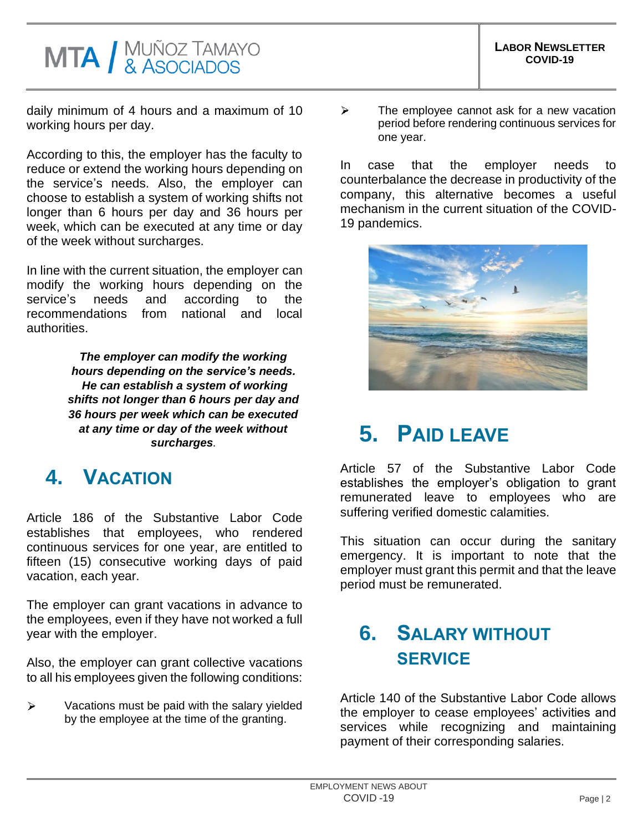# **MTA / MUÑOZ TAMAYO**<br>& ASOCIADOS

daily minimum of 4 hours and a maximum of 10 working hours per day.

According to this, the employer has the faculty to reduce or extend the working hours depending on the service's needs. Also, the employer can choose to establish a system of working shifts not longer than 6 hours per day and 36 hours per week, which can be executed at any time or day of the week without surcharges.

In line with the current situation, the employer can modify the working hours depending on the service's needs and according to the recommendations from national and local authorities.

> *The employer can modify the working hours depending on the service's needs. He can establish a system of working shifts not longer than 6 hours per day and 36 hours per week which can be executed at any time or day of the week without surcharges.*

### **4. VACATION**

Article 186 of the Substantive Labor Code establishes that employees, who rendered continuous services for one year, are entitled to fifteen (15) consecutive working days of paid vacation, each year.

The employer can grant vacations in advance to the employees, even if they have not worked a full year with the employer.

Also, the employer can grant collective vacations to all his employees given the following conditions:

Vacations must be paid with the salary yielded  $\blacktriangleright$ by the employee at the time of the granting.

 $\blacktriangleright$ The employee cannot ask for a new vacation period before rendering continuous services for one year.

In case that the employer needs to counterbalance the decrease in productivity of the company, this alternative becomes a useful mechanism in the current situation of the COVID-19 pandemics.



# **5. PAID LEAVE**

Article 57 of the Substantive Labor Code establishes the employer's obligation to grant remunerated leave to employees who are suffering verified domestic calamities.

This situation can occur during the sanitary emergency. It is important to note that the employer must grant this permit and that the leave period must be remunerated.

#### **6. SALARY WITHOUT SERVICE**

Article 140 of the Substantive Labor Code allows the employer to cease employees' activities and services while recognizing and maintaining payment of their corresponding salaries.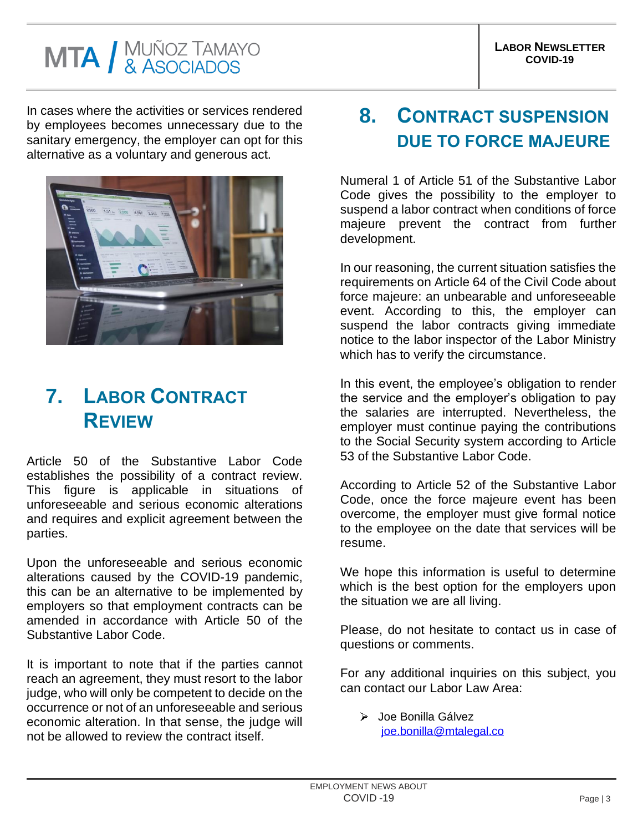# **MTA / MUÑOZ TAMAYO**<br>& ASOCIADOS

In cases where the activities or services rendered by employees becomes unnecessary due to the sanitary emergency, the employer can opt for this alternative as a voluntary and generous act.



## **7. LABOR CONTRACT REVIEW**

Article 50 of the Substantive Labor Code establishes the possibility of a contract review. This figure is applicable in situations of unforeseeable and serious economic alterations and requires and explicit agreement between the parties.

Upon the unforeseeable and serious economic alterations caused by the COVID-19 pandemic, this can be an alternative to be implemented by employers so that employment contracts can be amended in accordance with Article 50 of the Substantive Labor Code.

It is important to note that if the parties cannot reach an agreement, they must resort to the labor judge, who will only be competent to decide on the occurrence or not of an unforeseeable and serious economic alteration. In that sense, the judge will not be allowed to review the contract itself.

# **8. CONTRACT SUSPENSION DUE TO FORCE MAJEURE**

Numeral 1 of Article 51 of the Substantive Labor Code gives the possibility to the employer to suspend a labor contract when conditions of force majeure prevent the contract from further development.

In our reasoning, the current situation satisfies the requirements on Article 64 of the Civil Code about force majeure: an unbearable and unforeseeable event. According to this, the employer can suspend the labor contracts giving immediate notice to the labor inspector of the Labor Ministry which has to verify the circumstance.

In this event, the employee's obligation to render the service and the employer's obligation to pay the salaries are interrupted. Nevertheless, the employer must continue paying the contributions to the Social Security system according to Article 53 of the Substantive Labor Code.

According to Article 52 of the Substantive Labor Code, once the force majeure event has been overcome, the employer must give formal notice to the employee on the date that services will be resume.

We hope this information is useful to determine which is the best option for the employers upon the situation we are all living.

Please, do not hesitate to contact us in case of questions or comments.

For any additional inquiries on this subject, you can contact our Labor Law Area:

> Joe Bonilla Gálvez [joe.bonilla@mtalegal.co](mailto:joe.bonilla@mtalegal.co)